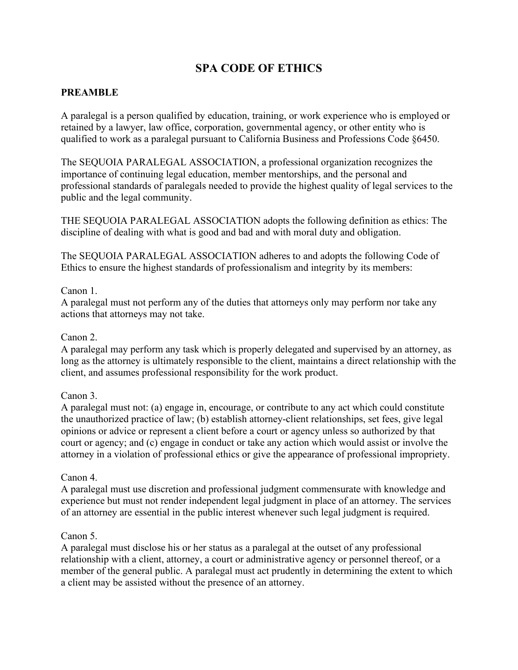# **SPA CODE OF ETHICS**

# **PREAMBLE**

A paralegal is a person qualified by education, training, or work experience who is employed or retained by a lawyer, law office, corporation, governmental agency, or other entity who is qualified to work as a paralegal pursuant to California Business and Professions Code §6450.

The SEQUOIA PARALEGAL ASSOCIATION, a professional organization recognizes the importance of continuing legal education, member mentorships, and the personal and professional standards of paralegals needed to provide the highest quality of legal services to the public and the legal community.

THE SEQUOIA PARALEGAL ASSOCIATION adopts the following definition as ethics: The discipline of dealing with what is good and bad and with moral duty and obligation.

The SEQUOIA PARALEGAL ASSOCIATION adheres to and adopts the following Code of Ethics to ensure the highest standards of professionalism and integrity by its members:

#### Canon 1.

A paralegal must not perform any of the duties that attorneys only may perform nor take any actions that attorneys may not take.

#### Canon 2.

A paralegal may perform any task which is properly delegated and supervised by an attorney, as long as the attorney is ultimately responsible to the client, maintains a direct relationship with the client, and assumes professional responsibility for the work product.

## Canon 3.

A paralegal must not: (a) engage in, encourage, or contribute to any act which could constitute the unauthorized practice of law; (b) establish attorney-client relationships, set fees, give legal opinions or advice or represent a client before a court or agency unless so authorized by that court or agency; and (c) engage in conduct or take any action which would assist or involve the attorney in a violation of professional ethics or give the appearance of professional impropriety.

## Canon 4.

A paralegal must use discretion and professional judgment commensurate with knowledge and experience but must not render independent legal judgment in place of an attorney. The services of an attorney are essential in the public interest whenever such legal judgment is required.

## Canon 5.

A paralegal must disclose his or her status as a paralegal at the outset of any professional relationship with a client, attorney, a court or administrative agency or personnel thereof, or a member of the general public. A paralegal must act prudently in determining the extent to which a client may be assisted without the presence of an attorney.